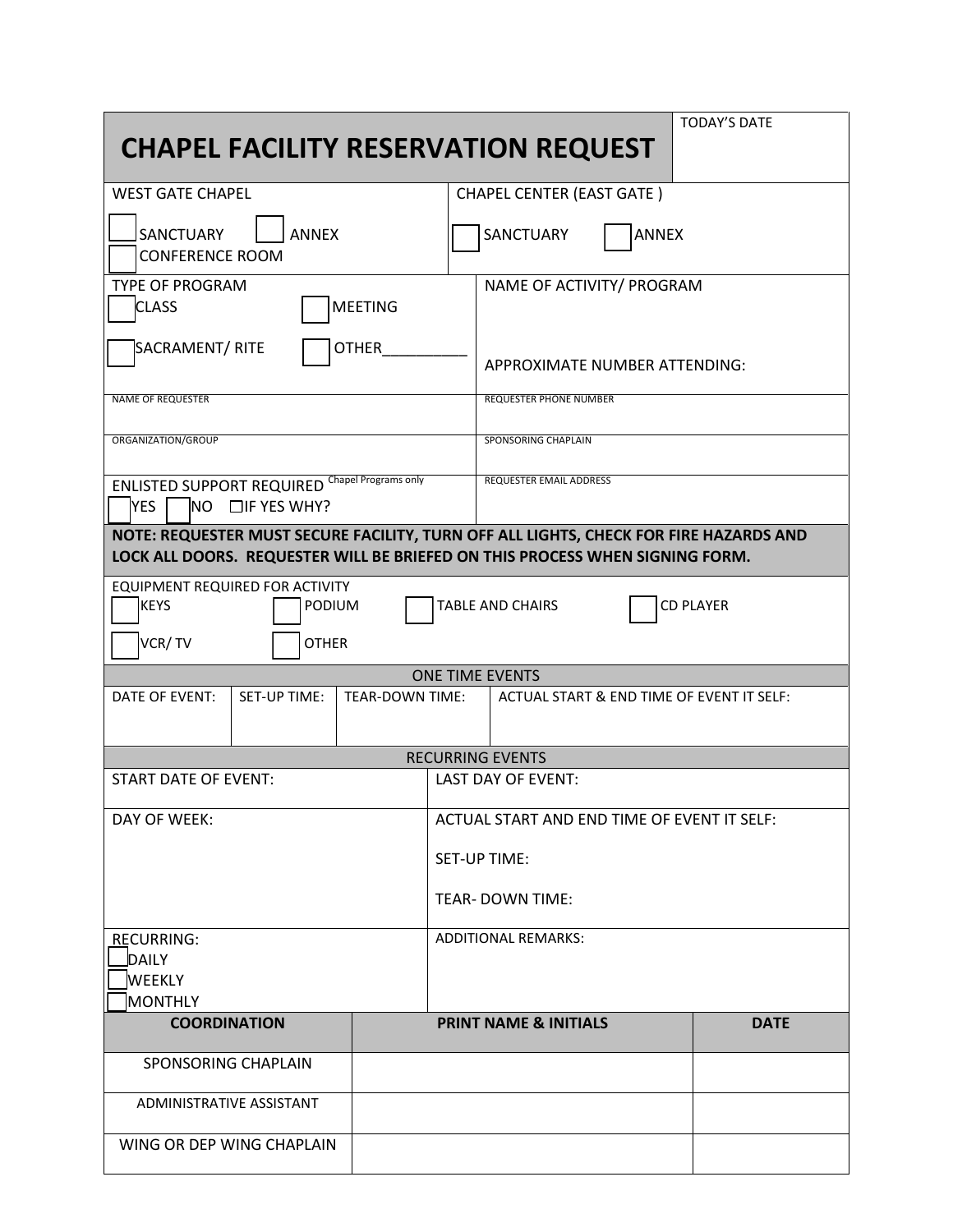| <b>TODAY'S DATE</b><br><b>CHAPEL FACILITY RESERVATION REQUEST</b>                                                                                                     |                 |                            |                                             |  |             |  |
|-----------------------------------------------------------------------------------------------------------------------------------------------------------------------|-----------------|----------------------------|---------------------------------------------|--|-------------|--|
| <b>WEST GATE CHAPEL</b>                                                                                                                                               |                 |                            | <b>CHAPEL CENTER (EAST GATE)</b>            |  |             |  |
| <b>SANCTUARY</b><br><b>ANNEX</b><br><b>CONFERENCE ROOM</b>                                                                                                            |                 |                            | <b>ANNEX</b><br>SANCTUARY                   |  |             |  |
| <b>TYPE OF PROGRAM</b><br><b>MEETING</b><br><b>CLASS</b>                                                                                                              |                 |                            | NAME OF ACTIVITY/ PROGRAM                   |  |             |  |
| SACRAMENT/RITE<br><b>OTHER</b>                                                                                                                                        |                 |                            | APPROXIMATE NUMBER ATTENDING:               |  |             |  |
| <b>NAME OF REQUESTER</b>                                                                                                                                              |                 |                            | <b>REQUESTER PHONE NUMBER</b>               |  |             |  |
| ORGANIZATION/GROUP                                                                                                                                                    |                 |                            | SPONSORING CHAPLAIN                         |  |             |  |
| <b>ENLISTED SUPPORT REQUIRED Chapel Programs only</b><br><b>REQUESTER EMAIL ADDRESS</b><br>$NO$ $\Box$ IF YES WHY?<br><b>YES</b>                                      |                 |                            |                                             |  |             |  |
| NOTE: REQUESTER MUST SECURE FACILITY, TURN OFF ALL LIGHTS, CHECK FOR FIRE HAZARDS AND<br>LOCK ALL DOORS. REQUESTER WILL BE BRIEFED ON THIS PROCESS WHEN SIGNING FORM. |                 |                            |                                             |  |             |  |
| EQUIPMENT REQUIRED FOR ACTIVITY<br><b>CD PLAYER</b><br><b>KEYS</b><br><b>TABLE AND CHAIRS</b><br><b>PODIUM</b><br>VCR/TV<br><b>OTHER</b>                              |                 |                            |                                             |  |             |  |
| <b>ONE TIME EVENTS</b>                                                                                                                                                |                 |                            |                                             |  |             |  |
| DATE OF EVENT:<br>SET-UP TIME:                                                                                                                                        | TEAR-DOWN TIME: |                            | ACTUAL START & END TIME OF EVENT IT SELF:   |  |             |  |
| <b>RECURRING EVENTS</b>                                                                                                                                               |                 |                            |                                             |  |             |  |
| <b>START DATE OF EVENT:</b>                                                                                                                                           |                 |                            | <b>LAST DAY OF EVENT:</b>                   |  |             |  |
| DAY OF WEEK:                                                                                                                                                          |                 |                            | ACTUAL START AND END TIME OF EVENT IT SELF: |  |             |  |
|                                                                                                                                                                       |                 |                            | <b>SET-UP TIME:</b>                         |  |             |  |
|                                                                                                                                                                       |                 |                            | <b>TEAR-DOWN TIME:</b>                      |  |             |  |
| <b>RECURRING:</b><br>DAILY                                                                                                                                            |                 | <b>ADDITIONAL REMARKS:</b> |                                             |  |             |  |
| <b>WEEKLY</b>                                                                                                                                                         |                 |                            |                                             |  |             |  |
| MONTHLY                                                                                                                                                               |                 |                            |                                             |  |             |  |
| <b>COORDINATION</b>                                                                                                                                                   |                 |                            | <b>PRINT NAME &amp; INITIALS</b>            |  | <b>DATE</b> |  |
| SPONSORING CHAPLAIN                                                                                                                                                   |                 |                            |                                             |  |             |  |
| ADMINISTRATIVE ASSISTANT                                                                                                                                              |                 |                            |                                             |  |             |  |
| WING OR DEP WING CHAPLAIN                                                                                                                                             |                 |                            |                                             |  |             |  |